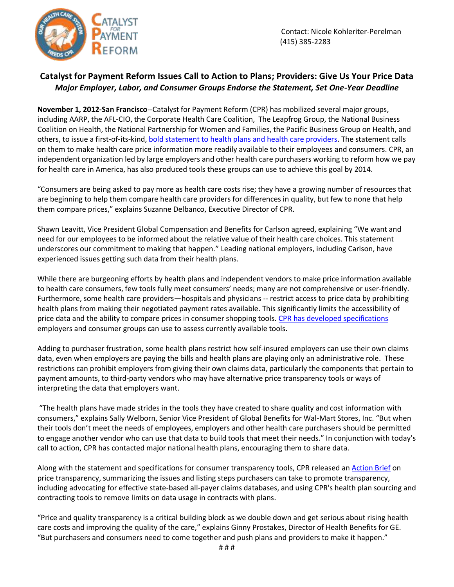

## **Catalyst for Payment Reform Issues Call to Action to Plans; Providers: Give Us Your Price Data** *Major Employer, Labor, and Consumer Groups Endorse the Statement, Set One-Year Deadline*

**November 1, 2012-San Francisco**--Catalyst for Payment Reform (CPR) has mobilized several major groups, including AARP, the AFL-CIO, the Corporate Health Care Coalition, The Leapfrog Group, the National Business Coalition on Health, the National Partnership for Women and Families, the Pacific Business Group on Health, and others, to issue a first-of-its-kind, bold [statement to health plans and health care providers.](http://www.catalyzepaymentreform.org/uploads/Price_Transparency_Statement.pdf) The statement calls on them to make health care price information more readily available to their employees and consumers. CPR, an independent organization led by large employers and other health care purchasers working to reform how we pay for health care in America, has also produced tools these groups can use to achieve this goal by 2014.

"Consumers are being asked to pay more as health care costs rise; they have a growing number of resources that are beginning to help them compare health care providers for differences in quality, but few to none that help them compare prices," explains Suzanne Delbanco, Executive Director of CPR.

Shawn Leavitt, Vice President Global Compensation and Benefits for Carlson agreed, explaining "We want and need for our employees to be informed about the relative value of their health care choices. This statement underscores our commitment to making that happen." Leading national employers, including Carlson, have experienced issues getting such data from their health plans.

While there are burgeoning efforts by health plans and independent vendors to make price information available to health care consumers, few tools fully meet consumers' needs; many are not comprehensive or user-friendly. Furthermore, some health care providers—hospitals and physicians -- restrict access to price data by prohibiting health plans from making their negotiated payment rates available. This significantly limits the accessibility of price data and the ability to compare prices in consumer shopping tools[. CPR has developed specifications](http://www.catalyzepaymentreform.org/uploads/Price_Transparency_Specifications.pdf) employers and consumer groups can use to assess currently available tools.

Adding to purchaser frustration, some health plans restrict how self-insured employers can use their own claims data, even when employers are paying the bills and health plans are playing only an administrative role. These restrictions can prohibit employers from giving their own claims data, particularly the components that pertain to payment amounts, to third-party vendors who may have alternative price transparency tools or ways of interpreting the data that employers want.

"The health plans have made strides in the tools they have created to share quality and cost information with consumers," explains Sally Welborn, Senior Vice President of Global Benefits for Wal-Mart Stores, Inc. "But when their tools don't meet the needs of employees, employers and other health care purchasers should be permitted to engage another vendor who can use that data to build tools that meet their needs." In conjunction with today's call to action, CPR has contacted major national health plans, encouraging them to share data.

Along with the statement and specifications for consumer transparency tools, CPR released a[n Action Brief](http://www.catalyzepaymentreform.org/uploads/CPR_Action_Brief_Price_Transparency.pdf) on price transparency, summarizing the issues and listing steps purchasers can take to promote transparency, including advocating for effective state-based all-payer claims databases, and using CPR's health plan sourcing and contracting tools to remove limits on data usage in contracts with plans.

"Price and quality transparency is a critical building block as we double down and get serious about rising health care costs and improving the quality of the care," explains Ginny Prostakes, Director of Health Benefits for GE. "But purchasers and consumers need to come together and push plans and providers to make it happen."